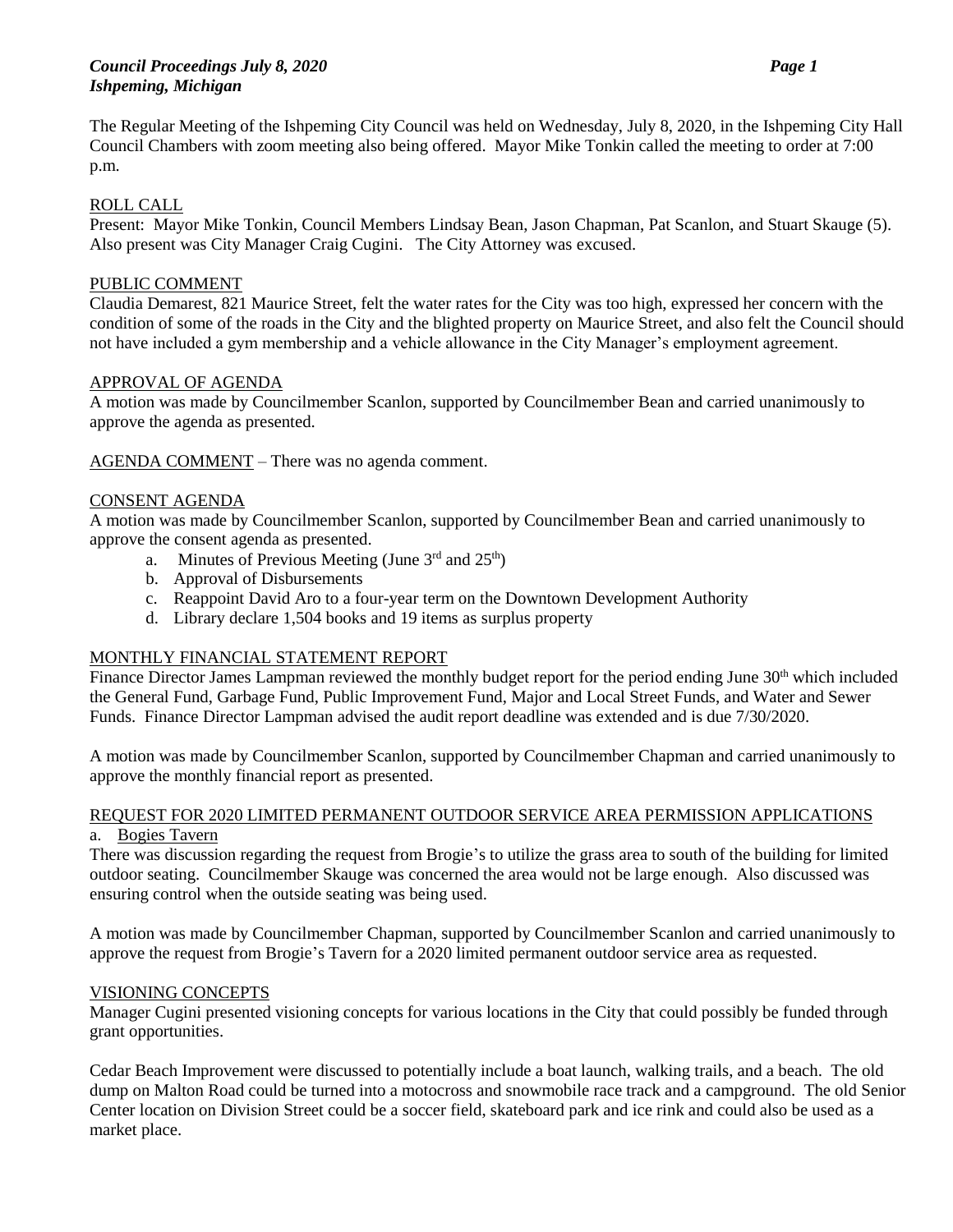The Regular Meeting of the Ishpeming City Council was held on Wednesday, July 8, 2020, in the Ishpeming City Hall Council Chambers with zoom meeting also being offered. Mayor Mike Tonkin called the meeting to order at 7:00 p.m.

### ROLL CALL

Present: Mayor Mike Tonkin, Council Members Lindsay Bean, Jason Chapman, Pat Scanlon, and Stuart Skauge (5). Also present was City Manager Craig Cugini. The City Attorney was excused.

## PUBLIC COMMENT

Claudia Demarest, 821 Maurice Street, felt the water rates for the City was too high, expressed her concern with the condition of some of the roads in the City and the blighted property on Maurice Street, and also felt the Council should not have included a gym membership and a vehicle allowance in the City Manager's employment agreement.

### APPROVAL OF AGENDA

A motion was made by Councilmember Scanlon, supported by Councilmember Bean and carried unanimously to approve the agenda as presented.

AGENDA COMMENT – There was no agenda comment.

#### CONSENT AGENDA

A motion was made by Councilmember Scanlon, supported by Councilmember Bean and carried unanimously to approve the consent agenda as presented.

- a. Minutes of Previous Meeting (June  $3<sup>rd</sup>$  and  $25<sup>th</sup>$ )
- b. Approval of Disbursements
- c. Reappoint David Aro to a four-year term on the Downtown Development Authority
- d. Library declare 1,504 books and 19 items as surplus property

### MONTHLY FINANCIAL STATEMENT REPORT

Finance Director James Lampman reviewed the monthly budget report for the period ending June 30<sup>th</sup> which included the General Fund, Garbage Fund, Public Improvement Fund, Major and Local Street Funds, and Water and Sewer Funds. Finance Director Lampman advised the audit report deadline was extended and is due 7/30/2020.

A motion was made by Councilmember Scanlon, supported by Councilmember Chapman and carried unanimously to approve the monthly financial report as presented.

#### REQUEST FOR 2020 LIMITED PERMANENT OUTDOOR SERVICE AREA PERMISSION APPLICATIONS a. Bogies Tavern

There was discussion regarding the request from Brogie's to utilize the grass area to south of the building for limited outdoor seating. Councilmember Skauge was concerned the area would not be large enough. Also discussed was ensuring control when the outside seating was being used.

A motion was made by Councilmember Chapman, supported by Councilmember Scanlon and carried unanimously to approve the request from Brogie's Tavern for a 2020 limited permanent outdoor service area as requested.

### VISIONING CONCEPTS

Manager Cugini presented visioning concepts for various locations in the City that could possibly be funded through grant opportunities.

Cedar Beach Improvement were discussed to potentially include a boat launch, walking trails, and a beach. The old dump on Malton Road could be turned into a motocross and snowmobile race track and a campground. The old Senior Center location on Division Street could be a soccer field, skateboard park and ice rink and could also be used as a market place.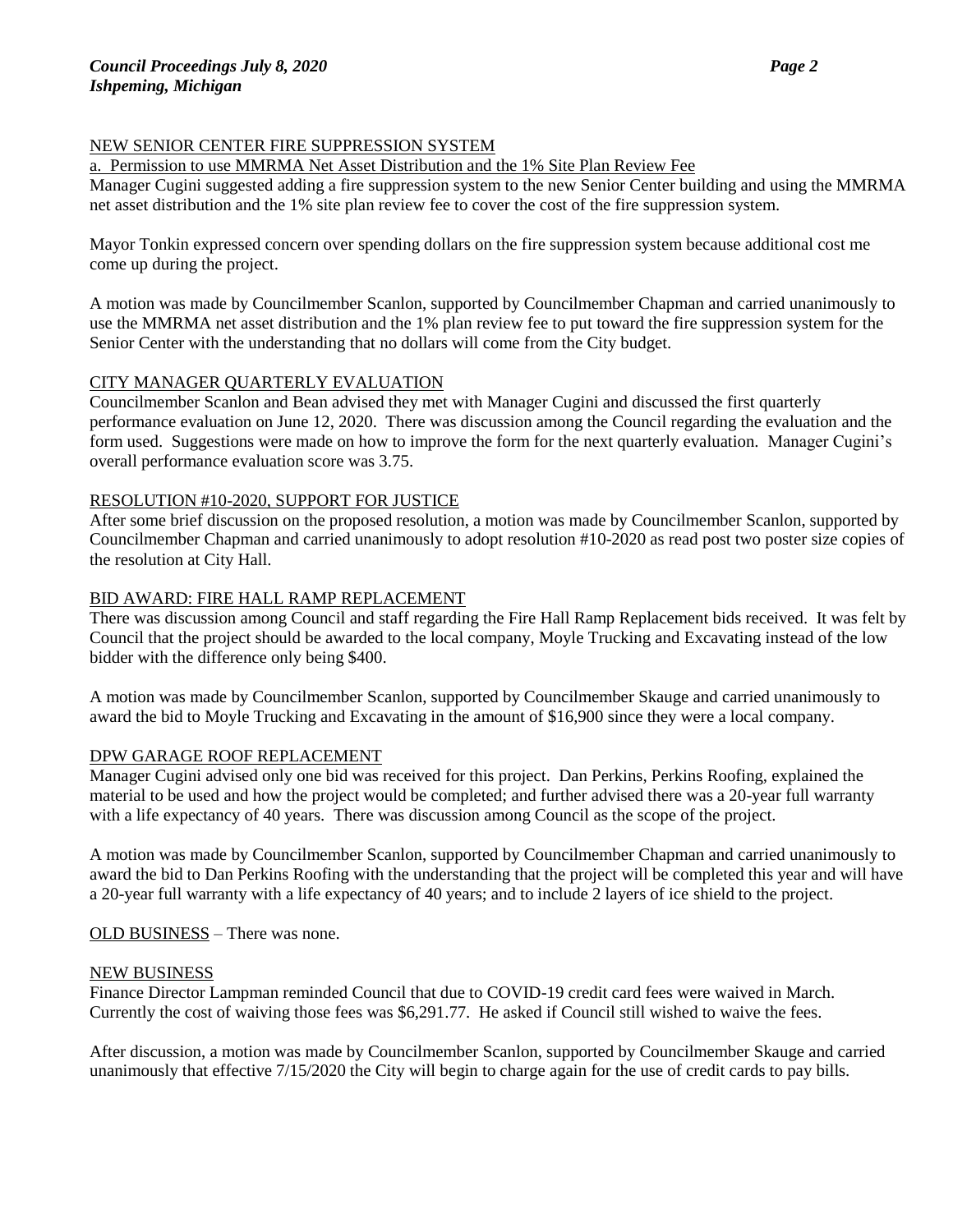# NEW SENIOR CENTER FIRE SUPPRESSION SYSTEM

## a. Permission to use MMRMA Net Asset Distribution and the 1% Site Plan Review Fee

Manager Cugini suggested adding a fire suppression system to the new Senior Center building and using the MMRMA net asset distribution and the 1% site plan review fee to cover the cost of the fire suppression system.

Mayor Tonkin expressed concern over spending dollars on the fire suppression system because additional cost me come up during the project.

A motion was made by Councilmember Scanlon, supported by Councilmember Chapman and carried unanimously to use the MMRMA net asset distribution and the 1% plan review fee to put toward the fire suppression system for the Senior Center with the understanding that no dollars will come from the City budget.

# CITY MANAGER QUARTERLY EVALUATION

Councilmember Scanlon and Bean advised they met with Manager Cugini and discussed the first quarterly performance evaluation on June 12, 2020. There was discussion among the Council regarding the evaluation and the form used. Suggestions were made on how to improve the form for the next quarterly evaluation. Manager Cugini's overall performance evaluation score was 3.75.

# RESOLUTION #10-2020, SUPPORT FOR JUSTICE

After some brief discussion on the proposed resolution, a motion was made by Councilmember Scanlon, supported by Councilmember Chapman and carried unanimously to adopt resolution #10-2020 as read post two poster size copies of the resolution at City Hall.

# BID AWARD: FIRE HALL RAMP REPLACEMENT

There was discussion among Council and staff regarding the Fire Hall Ramp Replacement bids received. It was felt by Council that the project should be awarded to the local company, Moyle Trucking and Excavating instead of the low bidder with the difference only being \$400.

A motion was made by Councilmember Scanlon, supported by Councilmember Skauge and carried unanimously to award the bid to Moyle Trucking and Excavating in the amount of \$16,900 since they were a local company.

### DPW GARAGE ROOF REPLACEMENT

Manager Cugini advised only one bid was received for this project. Dan Perkins, Perkins Roofing, explained the material to be used and how the project would be completed; and further advised there was a 20-year full warranty with a life expectancy of 40 years. There was discussion among Council as the scope of the project.

A motion was made by Councilmember Scanlon, supported by Councilmember Chapman and carried unanimously to award the bid to Dan Perkins Roofing with the understanding that the project will be completed this year and will have a 20-year full warranty with a life expectancy of 40 years; and to include 2 layers of ice shield to the project.

OLD BUSINESS – There was none.

### NEW BUSINESS

Finance Director Lampman reminded Council that due to COVID-19 credit card fees were waived in March. Currently the cost of waiving those fees was \$6,291.77. He asked if Council still wished to waive the fees.

After discussion, a motion was made by Councilmember Scanlon, supported by Councilmember Skauge and carried unanimously that effective 7/15/2020 the City will begin to charge again for the use of credit cards to pay bills.